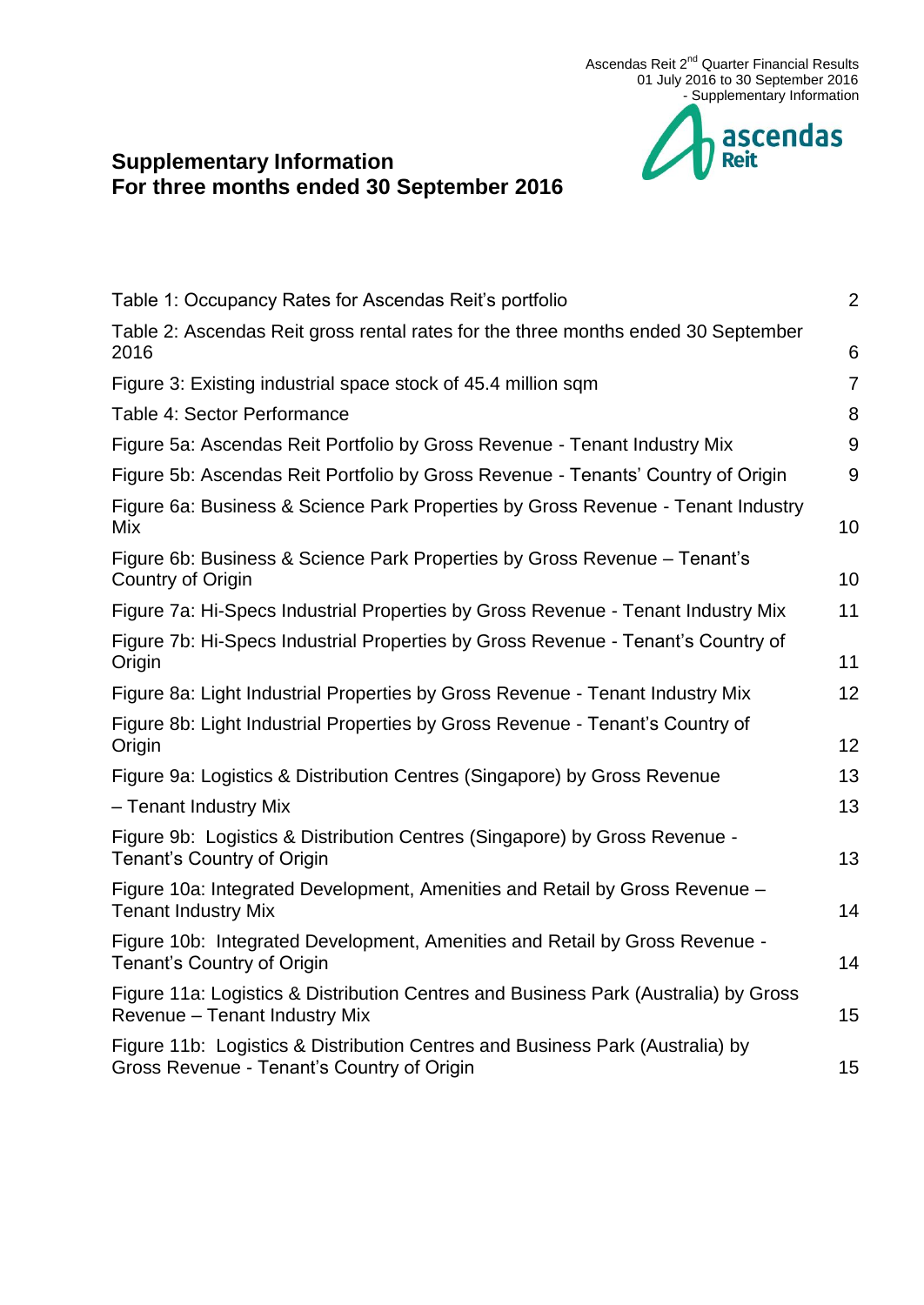

# **Supplementary Information For three months ended 30 September 2016**

| Table 1: Occupancy Rates for Ascendas Reit's portfolio                                                                      | $\overline{2}$ |
|-----------------------------------------------------------------------------------------------------------------------------|----------------|
| Table 2: Ascendas Reit gross rental rates for the three months ended 30 September<br>2016                                   | 6              |
| Figure 3: Existing industrial space stock of 45.4 million sqm                                                               | $\overline{7}$ |
| Table 4: Sector Performance                                                                                                 | 8              |
| Figure 5a: Ascendas Reit Portfolio by Gross Revenue - Tenant Industry Mix                                                   | 9              |
| Figure 5b: Ascendas Reit Portfolio by Gross Revenue - Tenants' Country of Origin                                            | 9              |
| Figure 6a: Business & Science Park Properties by Gross Revenue - Tenant Industry<br>Mix                                     | 10             |
| Figure 6b: Business & Science Park Properties by Gross Revenue - Tenant's<br>Country of Origin                              | 10             |
| Figure 7a: Hi-Specs Industrial Properties by Gross Revenue - Tenant Industry Mix                                            | 11             |
| Figure 7b: Hi-Specs Industrial Properties by Gross Revenue - Tenant's Country of<br>Origin                                  | 11             |
| Figure 8a: Light Industrial Properties by Gross Revenue - Tenant Industry Mix                                               | 12             |
| Figure 8b: Light Industrial Properties by Gross Revenue - Tenant's Country of<br>Origin                                     | 12             |
| Figure 9a: Logistics & Distribution Centres (Singapore) by Gross Revenue                                                    | 13             |
| - Tenant Industry Mix                                                                                                       | 13             |
| Figure 9b: Logistics & Distribution Centres (Singapore) by Gross Revenue -<br>Tenant's Country of Origin                    | 13             |
| Figure 10a: Integrated Development, Amenities and Retail by Gross Revenue -<br><b>Tenant Industry Mix</b>                   | 14             |
| Figure 10b: Integrated Development, Amenities and Retail by Gross Revenue -<br>Tenant's Country of Origin                   | 14             |
| Figure 11a: Logistics & Distribution Centres and Business Park (Australia) by Gross<br>Revenue - Tenant Industry Mix        | 15             |
| Figure 11b: Logistics & Distribution Centres and Business Park (Australia) by<br>Gross Revenue - Tenant's Country of Origin | 15             |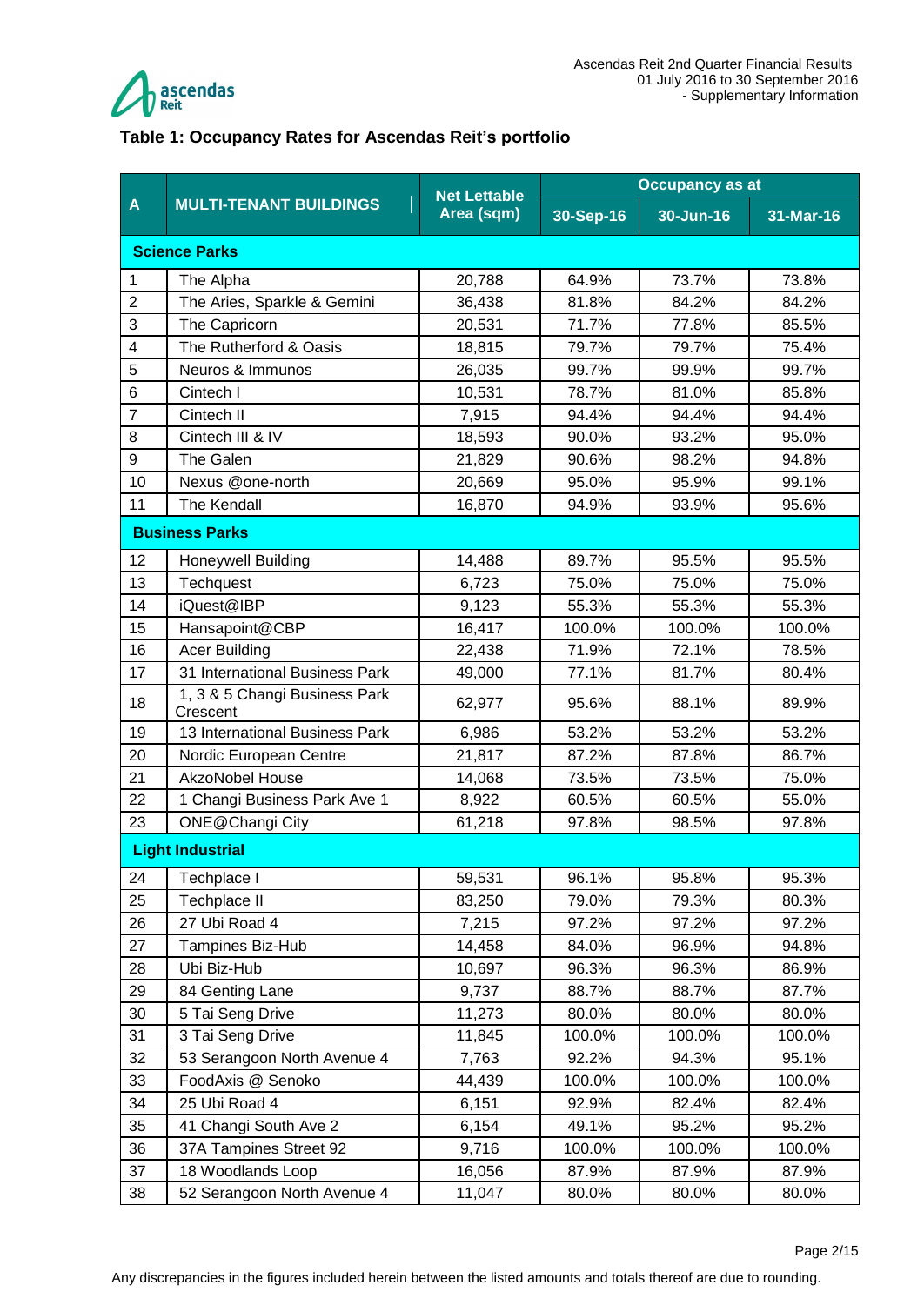

#### <span id="page-1-0"></span>**Table 1: Occupancy Rates for Ascendas Reit's portfolio**

|                |                                           | <b>Net Lettable</b> | <b>Occupancy as at</b> |           |           |  |
|----------------|-------------------------------------------|---------------------|------------------------|-----------|-----------|--|
| A              | <b>MULTI-TENANT BUILDINGS</b>             | Area (sqm)          | 30-Sep-16              | 30-Jun-16 | 31-Mar-16 |  |
|                | <b>Science Parks</b>                      |                     |                        |           |           |  |
| 1              | The Alpha                                 | 20,788              | 64.9%                  | 73.7%     | 73.8%     |  |
| $\overline{c}$ | The Aries, Sparkle & Gemini               | 36,438              | 81.8%                  | 84.2%     | 84.2%     |  |
| 3              | The Capricorn                             | 20,531              | 71.7%                  | 77.8%     | 85.5%     |  |
| 4              | The Rutherford & Oasis                    | 18,815              | 79.7%                  | 79.7%     | 75.4%     |  |
| 5              | Neuros & Immunos                          | 26,035              | 99.7%                  | 99.9%     | 99.7%     |  |
| 6              | Cintech I                                 | 10,531              | 78.7%                  | 81.0%     | 85.8%     |  |
| $\overline{7}$ | Cintech II                                | 7,915               | 94.4%                  | 94.4%     | 94.4%     |  |
| 8              | Cintech III & IV                          | 18,593              | 90.0%                  | 93.2%     | 95.0%     |  |
| 9              | The Galen                                 | 21,829              | 90.6%                  | 98.2%     | 94.8%     |  |
| 10             | Nexus @one-north                          | 20,669              | 95.0%                  | 95.9%     | 99.1%     |  |
| 11             | The Kendall                               | 16,870              | 94.9%                  | 93.9%     | 95.6%     |  |
|                | <b>Business Parks</b>                     |                     |                        |           |           |  |
| 12             | <b>Honeywell Building</b>                 | 14,488              | 89.7%                  | 95.5%     | 95.5%     |  |
| 13             | Techquest                                 | 6,723               | 75.0%                  | 75.0%     | 75.0%     |  |
| 14             | iQuest@IBP                                | 9,123               | 55.3%                  | 55.3%     | 55.3%     |  |
| 15             | Hansapoint@CBP                            | 16,417              | 100.0%                 | 100.0%    | 100.0%    |  |
| 16             | <b>Acer Building</b>                      | 22,438              | 71.9%                  | 72.1%     | 78.5%     |  |
| 17             | 31 International Business Park            | 49,000              | 77.1%                  | 81.7%     | 80.4%     |  |
| 18             | 1, 3 & 5 Changi Business Park<br>Crescent | 62,977              | 95.6%                  | 88.1%     | 89.9%     |  |
| 19             | 13 International Business Park            | 6,986               | 53.2%                  | 53.2%     | 53.2%     |  |
| 20             | Nordic European Centre                    | 21,817              | 87.2%                  | 87.8%     | 86.7%     |  |
| 21             | <b>AkzoNobel House</b>                    | 14,068              | 73.5%                  | 73.5%     | 75.0%     |  |
| 22             | 1 Changi Business Park Ave 1              | 8,922               | 60.5%                  | 60.5%     | 55.0%     |  |
| 23             | <b>ONE@Changi City</b>                    | 61,218              | 97.8%                  | 98.5%     | 97.8%     |  |
|                | <b>Light Industrial</b>                   |                     |                        |           |           |  |
| 24             | Techplace I                               | 59,531              | 96.1%                  | 95.8%     | 95.3%     |  |
| 25             | Techplace II                              | 83,250              | 79.0%                  | 79.3%     | 80.3%     |  |
| 26             | 27 Ubi Road 4                             | 7,215               | 97.2%                  | 97.2%     | 97.2%     |  |
| 27             | Tampines Biz-Hub                          | 14,458              | 84.0%                  | 96.9%     | 94.8%     |  |
| 28             | Ubi Biz-Hub                               | 10,697              | 96.3%                  | 96.3%     | 86.9%     |  |
| 29             | 84 Genting Lane                           | 9,737               | 88.7%                  | 88.7%     | 87.7%     |  |
| 30             | 5 Tai Seng Drive                          | 11,273              | 80.0%                  | 80.0%     | 80.0%     |  |
| 31             | 3 Tai Seng Drive                          | 11,845              | 100.0%                 | 100.0%    | 100.0%    |  |
| 32             | 53 Serangoon North Avenue 4               | 7,763               | 92.2%                  | 94.3%     | 95.1%     |  |
| 33             | FoodAxis @ Senoko                         | 44,439              | 100.0%                 | 100.0%    | 100.0%    |  |
| 34             | 25 Ubi Road 4                             | 6,151               | 92.9%                  | 82.4%     | 82.4%     |  |
| 35             | 41 Changi South Ave 2                     | 6,154               | 49.1%                  | 95.2%     | 95.2%     |  |
| 36             | 37A Tampines Street 92                    | 9,716               | 100.0%                 | 100.0%    | 100.0%    |  |
| 37             | 18 Woodlands Loop                         | 16,056              | 87.9%                  | 87.9%     | 87.9%     |  |
| 38             | 52 Serangoon North Avenue 4               | 11,047              | 80.0%                  | 80.0%     | 80.0%     |  |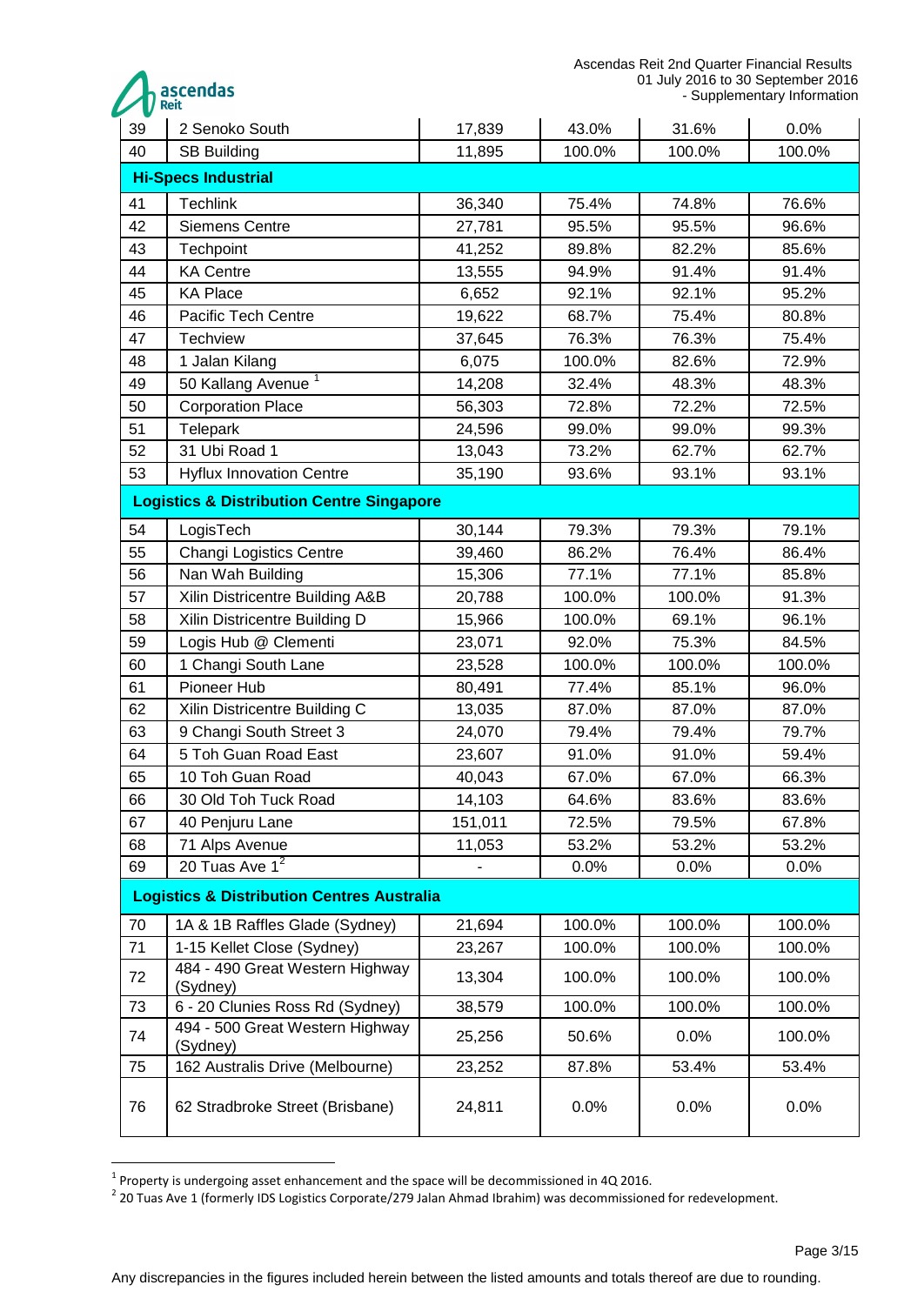Ascendas Reit 2nd Quarter Financial Results 01 July 2016 to 30 September 2016 - Supplementary Information

|    | ascendas<br><b>Reit</b>                               |                              |        |        | 01 July 2016 to 30 September 2016<br>- Supplementary Information |
|----|-------------------------------------------------------|------------------------------|--------|--------|------------------------------------------------------------------|
| 39 | 2 Senoko South                                        | 17,839                       | 43.0%  | 31.6%  | 0.0%                                                             |
| 40 | <b>SB Building</b>                                    | 11,895                       | 100.0% | 100.0% | 100.0%                                                           |
|    | <b>Hi-Specs Industrial</b>                            |                              |        |        |                                                                  |
| 41 | <b>Techlink</b>                                       | 36,340                       | 75.4%  | 74.8%  | 76.6%                                                            |
| 42 | <b>Siemens Centre</b>                                 | 27,781                       | 95.5%  | 95.5%  | 96.6%                                                            |
| 43 | Techpoint                                             | 41,252                       | 89.8%  | 82.2%  | 85.6%                                                            |
| 44 | <b>KA Centre</b>                                      | 13,555                       | 94.9%  | 91.4%  | 91.4%                                                            |
| 45 | <b>KA Place</b>                                       | 6,652                        | 92.1%  | 92.1%  | 95.2%                                                            |
| 46 | Pacific Tech Centre                                   | 19,622                       | 68.7%  | 75.4%  | 80.8%                                                            |
| 47 | <b>Techview</b>                                       | 37,645                       | 76.3%  | 76.3%  | 75.4%                                                            |
| 48 | 1 Jalan Kilang                                        | 6,075                        | 100.0% | 82.6%  | 72.9%                                                            |
| 49 | 50 Kallang Avenue <sup>1</sup>                        | 14,208                       | 32.4%  | 48.3%  | 48.3%                                                            |
| 50 | <b>Corporation Place</b>                              | 56,303                       | 72.8%  | 72.2%  | 72.5%                                                            |
| 51 | <b>Telepark</b>                                       | 24,596                       | 99.0%  | 99.0%  | 99.3%                                                            |
| 52 | 31 Ubi Road 1                                         | 13,043                       | 73.2%  | 62.7%  | 62.7%                                                            |
| 53 | <b>Hyflux Innovation Centre</b>                       | 35,190                       | 93.6%  | 93.1%  | 93.1%                                                            |
|    | <b>Logistics &amp; Distribution Centre Singapore</b>  |                              |        |        |                                                                  |
| 54 | LogisTech                                             | 30,144                       | 79.3%  | 79.3%  | 79.1%                                                            |
| 55 | <b>Changi Logistics Centre</b>                        | 39,460                       | 86.2%  | 76.4%  | 86.4%                                                            |
| 56 | Nan Wah Building                                      | 15,306                       | 77.1%  | 77.1%  | 85.8%                                                            |
| 57 | Xilin Districentre Building A&B                       | 20,788                       | 100.0% | 100.0% | 91.3%                                                            |
| 58 | Xilin Districentre Building D                         | 15,966                       | 100.0% | 69.1%  | 96.1%                                                            |
| 59 | Logis Hub @ Clementi                                  | 23,071                       | 92.0%  | 75.3%  | 84.5%                                                            |
| 60 | 1 Changi South Lane                                   | 23,528                       | 100.0% | 100.0% | 100.0%                                                           |
| 61 | Pioneer Hub                                           | 80,491                       | 77.4%  | 85.1%  | 96.0%                                                            |
| 62 | Xilin Districentre Building C                         | 13,035                       | 87.0%  | 87.0%  | 87.0%                                                            |
| 63 | 9 Changi South Street 3                               | 24,070                       | 79.4%  | 79.4%  | 79.7%                                                            |
| 64 | 5 Toh Guan Road East                                  | 23,607                       | 91.0%  | 91.0%  | 59.4%                                                            |
| 65 | 10 Toh Guan Road                                      | 40,043                       | 67.0%  | 67.0%  | 66.3%                                                            |
| 66 | 30 Old Toh Tuck Road                                  | 14,103                       | 64.6%  | 83.6%  | 83.6%                                                            |
| 67 | 40 Penjuru Lane                                       | 151,011                      | 72.5%  | 79.5%  | 67.8%                                                            |
| 68 | 71 Alps Avenue                                        | 11,053                       | 53.2%  | 53.2%  | 53.2%                                                            |
| 69 | 20 Tuas Ave $1^2$                                     | $\qquad \qquad \blacksquare$ | 0.0%   | 0.0%   | 0.0%                                                             |
|    | <b>Logistics &amp; Distribution Centres Australia</b> |                              |        |        |                                                                  |
| 70 | 1A & 1B Raffles Glade (Sydney)                        | 21,694                       | 100.0% | 100.0% | 100.0%                                                           |
| 71 | 1-15 Kellet Close (Sydney)                            | 23,267                       | 100.0% | 100.0% | 100.0%                                                           |
| 72 | 484 - 490 Great Western Highway<br>(Sydney)           | 13,304                       | 100.0% | 100.0% | 100.0%                                                           |
| 73 | 6 - 20 Clunies Ross Rd (Sydney)                       | 38,579                       | 100.0% | 100.0% | 100.0%                                                           |
| 74 | 494 - 500 Great Western Highway<br>(Sydney)           | 25,256                       | 50.6%  | 0.0%   | 100.0%                                                           |
| 75 | 162 Australis Drive (Melbourne)                       | 23,252                       | 87.8%  | 53.4%  | 53.4%                                                            |
| 76 | 62 Stradbroke Street (Brisbane)                       | 24,811                       | 0.0%   | 0.0%   | 0.0%                                                             |

 1 Property is undergoing asset enhancement and the space will be decommissioned in 4Q 2016. 2 20 Tuas Ave 1 (formerly IDS Logistics Corporate/279 Jalan Ahmad Ibrahim) was decommissioned for redevelopment.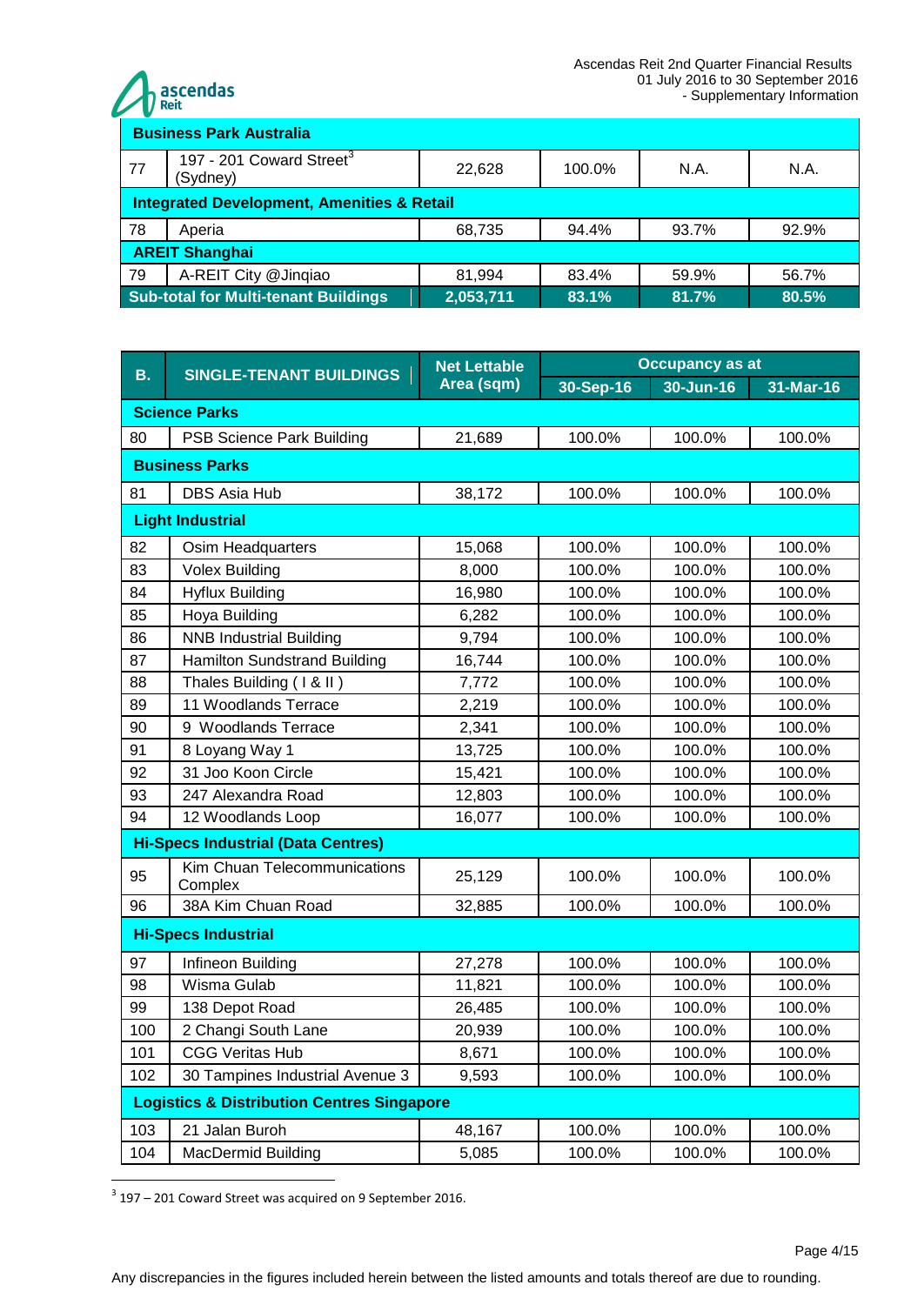

| <b>Business Park Australia</b>                        |                                                                                                  |        |        |       |       |  |
|-------------------------------------------------------|--------------------------------------------------------------------------------------------------|--------|--------|-------|-------|--|
| 77                                                    | 197 - 201 Coward Street <sup>3</sup><br>(Sydney)                                                 | 22,628 | 100.0% | N.A.  | N.A.  |  |
| <b>Integrated Development, Amenities &amp; Retail</b> |                                                                                                  |        |        |       |       |  |
| 78                                                    | Aperia                                                                                           | 68,735 | 94.4%  | 93.7% | 92.9% |  |
| <b>AREIT Shanghai</b>                                 |                                                                                                  |        |        |       |       |  |
| 79                                                    | A-REIT City @Jinqiao                                                                             | 81,994 | 83.4%  | 59.9% | 56.7% |  |
|                                                       | <b>Sub-total for Multi-tenant Buildings</b><br>$\overline{2,053,711}$<br>83.1%<br>80.5%<br>81.7% |        |        |       |       |  |

| <b>B.</b>                                 | <b>SINGLE-TENANT BUILDINGS</b>                        | <b>Net Lettable</b> | <b>Occupancy as at</b> |               |             |  |
|-------------------------------------------|-------------------------------------------------------|---------------------|------------------------|---------------|-------------|--|
|                                           |                                                       | Area (sqm)          | 30-Sep-16              | $30 - Jun-16$ | $31-Mar-16$ |  |
| <b>Science Parks</b>                      |                                                       |                     |                        |               |             |  |
| 80                                        | PSB Science Park Building                             | 21,689              | 100.0%                 | 100.0%        | 100.0%      |  |
|                                           | <b>Business Parks</b>                                 |                     |                        |               |             |  |
| 81                                        | <b>DBS Asia Hub</b>                                   | 38,172              | 100.0%                 | 100.0%        | 100.0%      |  |
|                                           | <b>Light Industrial</b>                               |                     |                        |               |             |  |
| 82                                        | Osim Headquarters                                     | 15,068              | 100.0%                 | 100.0%        | 100.0%      |  |
| 83                                        | <b>Volex Building</b>                                 | 8,000               | 100.0%                 | 100.0%        | 100.0%      |  |
| 84                                        | <b>Hyflux Building</b>                                | 16,980              | 100.0%                 | 100.0%        | 100.0%      |  |
| 85                                        | Hoya Building                                         | 6,282               | 100.0%                 | 100.0%        | 100.0%      |  |
| 86                                        | <b>NNB Industrial Building</b>                        | 9,794               | 100.0%                 | 100.0%        | 100.0%      |  |
| 87                                        | <b>Hamilton Sundstrand Building</b>                   | 16,744              | 100.0%                 | 100.0%        | 100.0%      |  |
| 88                                        | Thales Building (1 & II)                              | 7,772               | 100.0%                 | 100.0%        | 100.0%      |  |
| 89                                        | 11 Woodlands Terrace                                  | 2,219               | 100.0%                 | 100.0%        | 100.0%      |  |
| 90                                        | 9 Woodlands Terrace                                   | 2,341               | 100.0%                 | 100.0%        | 100.0%      |  |
| 91                                        | 8 Loyang Way 1                                        | 13,725              | 100.0%                 | 100.0%        | 100.0%      |  |
| 92                                        | 31 Joo Koon Circle                                    | 15,421              | 100.0%                 | 100.0%        | 100.0%      |  |
| 93                                        | 247 Alexandra Road                                    | 12,803              | 100.0%                 | 100.0%        | 100.0%      |  |
| 94                                        | 12 Woodlands Loop                                     | 16,077              | 100.0%                 | 100.0%        | 100.0%      |  |
| <b>Hi-Specs Industrial (Data Centres)</b> |                                                       |                     |                        |               |             |  |
| 95                                        | Kim Chuan Telecommunications<br>Complex               | 25,129              | 100.0%                 | 100.0%        | 100.0%      |  |
| 96                                        | 38A Kim Chuan Road                                    | 32,885              | 100.0%                 | 100.0%        | 100.0%      |  |
|                                           | <b>Hi-Specs Industrial</b>                            |                     |                        |               |             |  |
| 97                                        | Infineon Building                                     | 27,278              | 100.0%                 | 100.0%        | 100.0%      |  |
| 98                                        | Wisma Gulab                                           | 11,821              | 100.0%                 | 100.0%        | 100.0%      |  |
| 99                                        | 138 Depot Road                                        | 26,485              | 100.0%                 | 100.0%        | 100.0%      |  |
| 100                                       | 2 Changi South Lane                                   | 20,939              | 100.0%                 | 100.0%        | 100.0%      |  |
| 101                                       | <b>CGG Veritas Hub</b>                                | 8,671               | 100.0%                 | 100.0%        | 100.0%      |  |
| 102                                       | 30 Tampines Industrial Avenue 3                       | 9,593               | 100.0%                 | 100.0%        | 100.0%      |  |
|                                           | <b>Logistics &amp; Distribution Centres Singapore</b> |                     |                        |               |             |  |
| 103                                       | 21 Jalan Buroh                                        | 48,167              | 100.0%                 | 100.0%        | 100.0%      |  |
| 104                                       | <b>MacDermid Building</b>                             | 5,085               | 100.0%                 | 100.0%        | 100.0%      |  |

 $3$  197 – 201 Coward Street was acquired on 9 September 2016.

<u>.</u>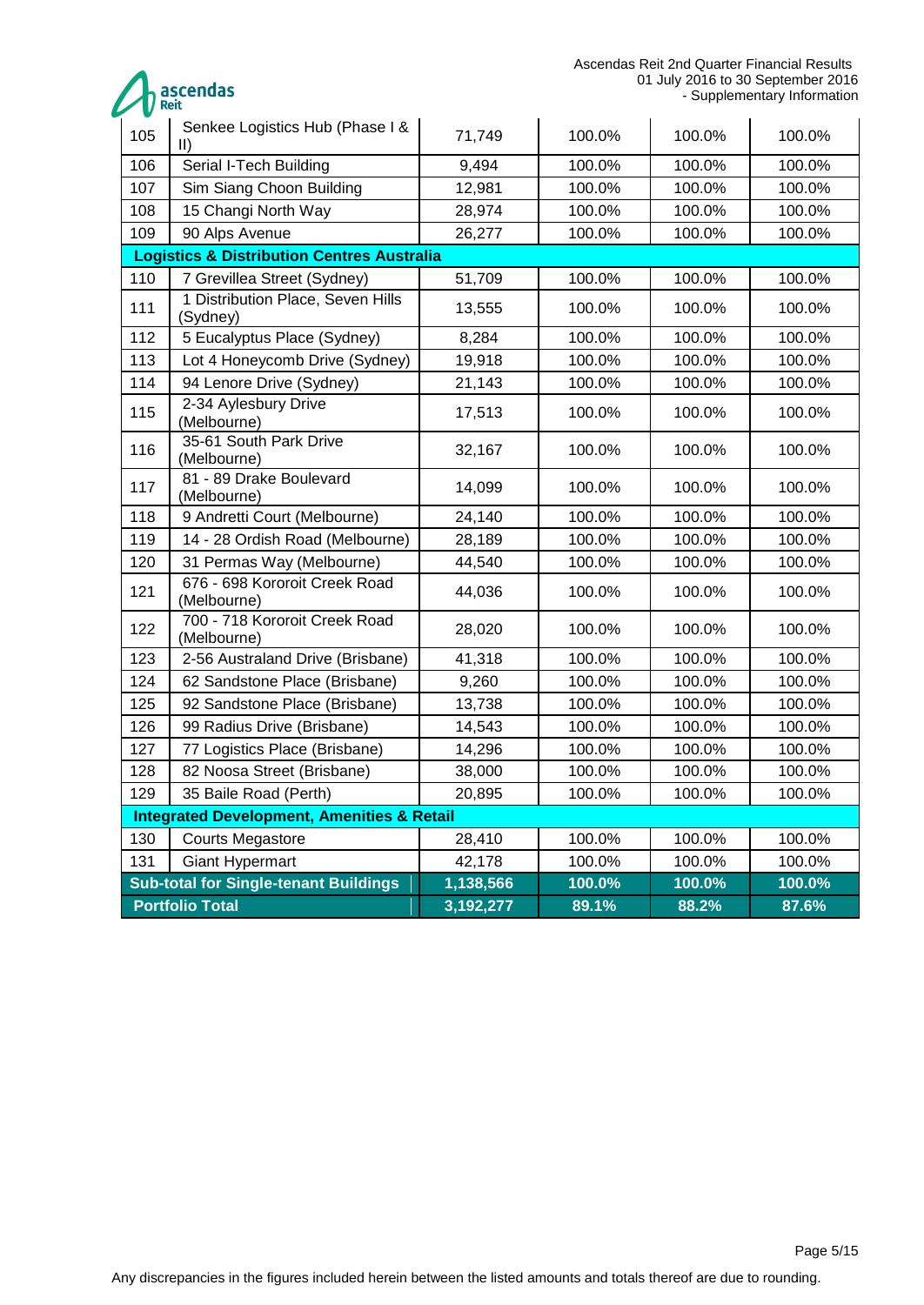Ascendas Reit 2nd Quarter Financial Results 01 July 2016 to 30 September 2016 - Supplementary Information

| ascendas<br><b>/ Reit</b> |
|---------------------------|
|                           |

<span id="page-4-0"></span>

| 105                                                   | Senkee Logistics Hub (Phase I &<br>$\parallel$        | 71,749    | 100.0% | 100.0% | 100.0% |
|-------------------------------------------------------|-------------------------------------------------------|-----------|--------|--------|--------|
| 106                                                   | Serial I-Tech Building                                | 9,494     | 100.0% | 100.0% | 100.0% |
| 107                                                   | Sim Siang Choon Building                              | 12,981    | 100.0% | 100.0% | 100.0% |
| 108                                                   | 15 Changi North Way                                   | 28,974    | 100.0% | 100.0% | 100.0% |
| 109                                                   | 90 Alps Avenue                                        | 26,277    | 100.0% | 100.0% | 100.0% |
| <b>Logistics &amp; Distribution Centres Australia</b> |                                                       |           |        |        |        |
| 110                                                   | 7 Grevillea Street (Sydney)                           | 51,709    | 100.0% | 100.0% | 100.0% |
| 111                                                   | 1 Distribution Place, Seven Hills<br>(Sydney)         | 13,555    | 100.0% | 100.0% | 100.0% |
| 112                                                   | 5 Eucalyptus Place (Sydney)                           | 8,284     | 100.0% | 100.0% | 100.0% |
| 113                                                   | Lot 4 Honeycomb Drive (Sydney)                        | 19,918    | 100.0% | 100.0% | 100.0% |
| 114                                                   | 94 Lenore Drive (Sydney)                              | 21,143    | 100.0% | 100.0% | 100.0% |
| 115                                                   | 2-34 Aylesbury Drive<br>(Melbourne)                   | 17,513    | 100.0% | 100.0% | 100.0% |
| 116                                                   | 35-61 South Park Drive<br>(Melbourne)                 | 32,167    | 100.0% | 100.0% | 100.0% |
| 117                                                   | 81 - 89 Drake Boulevard<br>(Melbourne)                | 14,099    | 100.0% | 100.0% | 100.0% |
| 118                                                   | 9 Andretti Court (Melbourne)                          | 24,140    | 100.0% | 100.0% | 100.0% |
| 119                                                   | 14 - 28 Ordish Road (Melbourne)                       | 28,189    | 100.0% | 100.0% | 100.0% |
| 120                                                   | 31 Permas Way (Melbourne)                             | 44,540    | 100.0% | 100.0% | 100.0% |
| 121                                                   | 676 - 698 Kororoit Creek Road<br>(Melbourne)          | 44,036    | 100.0% | 100.0% | 100.0% |
| 122                                                   | 700 - 718 Kororoit Creek Road<br>(Melbourne)          | 28,020    | 100.0% | 100.0% | 100.0% |
| 123                                                   | 2-56 Australand Drive (Brisbane)                      | 41,318    | 100.0% | 100.0% | 100.0% |
| 124                                                   | 62 Sandstone Place (Brisbane)                         | 9,260     | 100.0% | 100.0% | 100.0% |
| 125                                                   | 92 Sandstone Place (Brisbane)                         | 13,738    | 100.0% | 100.0% | 100.0% |
| 126                                                   | 99 Radius Drive (Brisbane)                            | 14,543    | 100.0% | 100.0% | 100.0% |
| 127                                                   | 77 Logistics Place (Brisbane)                         | 14,296    | 100.0% | 100.0% | 100.0% |
| 128                                                   | 82 Noosa Street (Brisbane)                            | 38,000    | 100.0% | 100.0% | 100.0% |
| 129                                                   | 35 Baile Road (Perth)                                 | 20,895    | 100.0% | 100.0% | 100.0% |
|                                                       | <b>Integrated Development, Amenities &amp; Retail</b> |           |        |        |        |
| 130                                                   | <b>Courts Megastore</b>                               | 28,410    | 100.0% | 100.0% | 100.0% |
| 131                                                   | <b>Giant Hypermart</b>                                | 42,178    | 100.0% | 100.0% | 100.0% |
|                                                       | <b>Sub-total for Single-tenant Buildings</b>          | 1,138,566 | 100.0% | 100.0% | 100.0% |
|                                                       | <b>Portfolio Total</b>                                | 3,192,277 | 89.1%  | 88.2%  | 87.6%  |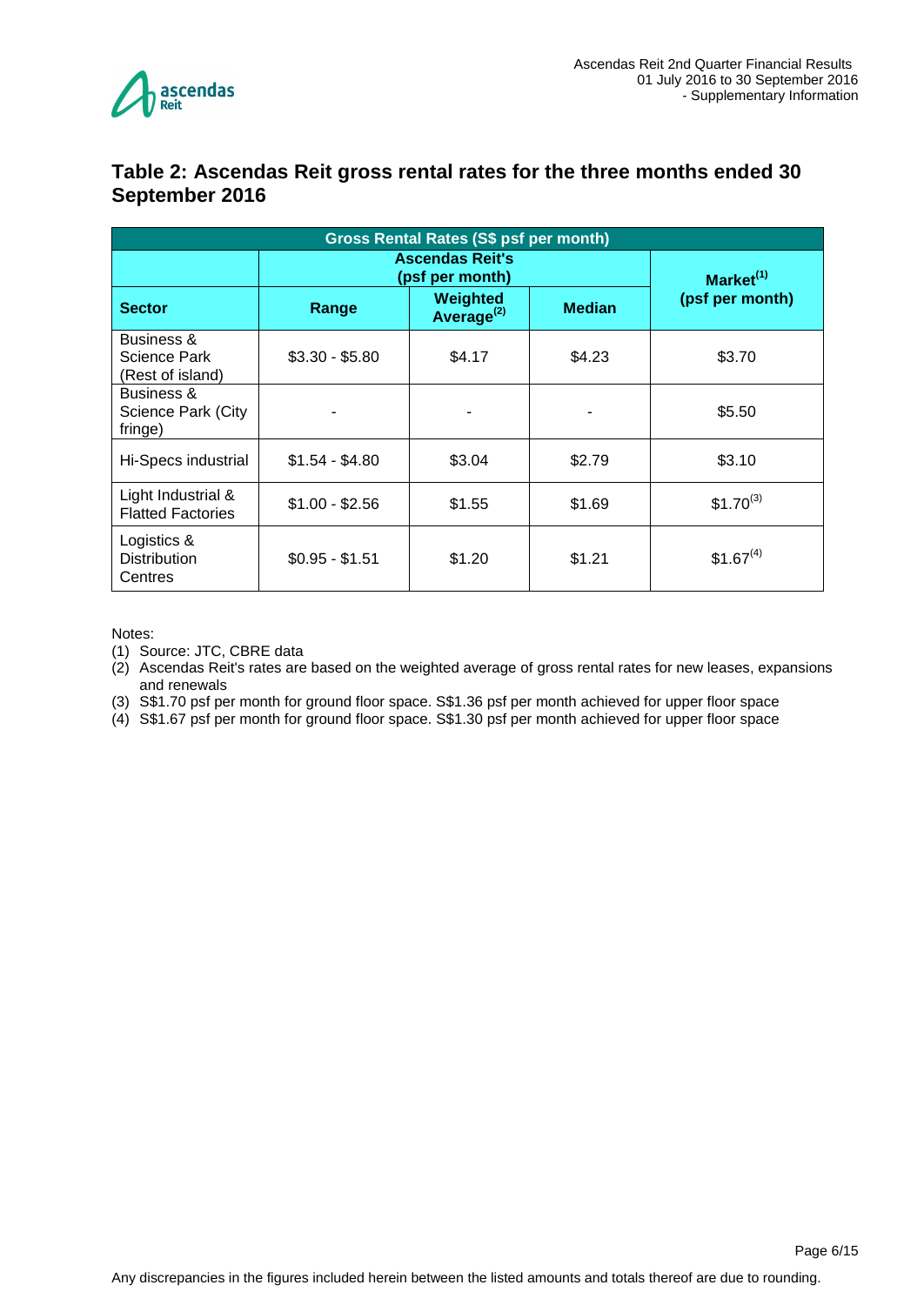

#### **Table 2: Ascendas Reit gross rental rates for the three months ended 30 September 2016**

| <b>Gross Rental Rates (S\$ psf per month)</b>  |                                           |                       |        |               |  |  |
|------------------------------------------------|-------------------------------------------|-----------------------|--------|---------------|--|--|
|                                                | <b>Ascendas Reit's</b><br>(psf per month) | Market <sup>(1)</sup> |        |               |  |  |
| <b>Sector</b>                                  | Range                                     | (psf per month)       |        |               |  |  |
| Business &<br>Science Park<br>(Rest of island) | $$3.30 - $5.80$                           | \$4.17                | \$4.23 | \$3.70        |  |  |
| Business &<br>Science Park (City<br>fringe)    |                                           |                       |        | \$5.50        |  |  |
| Hi-Specs industrial                            | $$1.54 - $4.80$                           | \$3.04                | \$2.79 | \$3.10        |  |  |
| Light Industrial &<br><b>Flatted Factories</b> | $$1.00 - $2.56$                           | \$1.55                | \$1.69 | $$1.70^{(3)}$ |  |  |
| Logistics &<br><b>Distribution</b><br>Centres  | $$0.95 - $1.51$                           | \$1.20                | \$1.21 | $$1.67^{(4)}$ |  |  |

Notes:

(1) Source: JTC, CBRE data

(2) Ascendas Reit's rates are based on the weighted average of gross rental rates for new leases, expansions and renewals

(3) S\$1.70 psf per month for ground floor space. S\$1.36 psf per month achieved for upper floor space

<span id="page-5-0"></span>(4) S\$1.67 psf per month for ground floor space. S\$1.30 psf per month achieved for upper floor space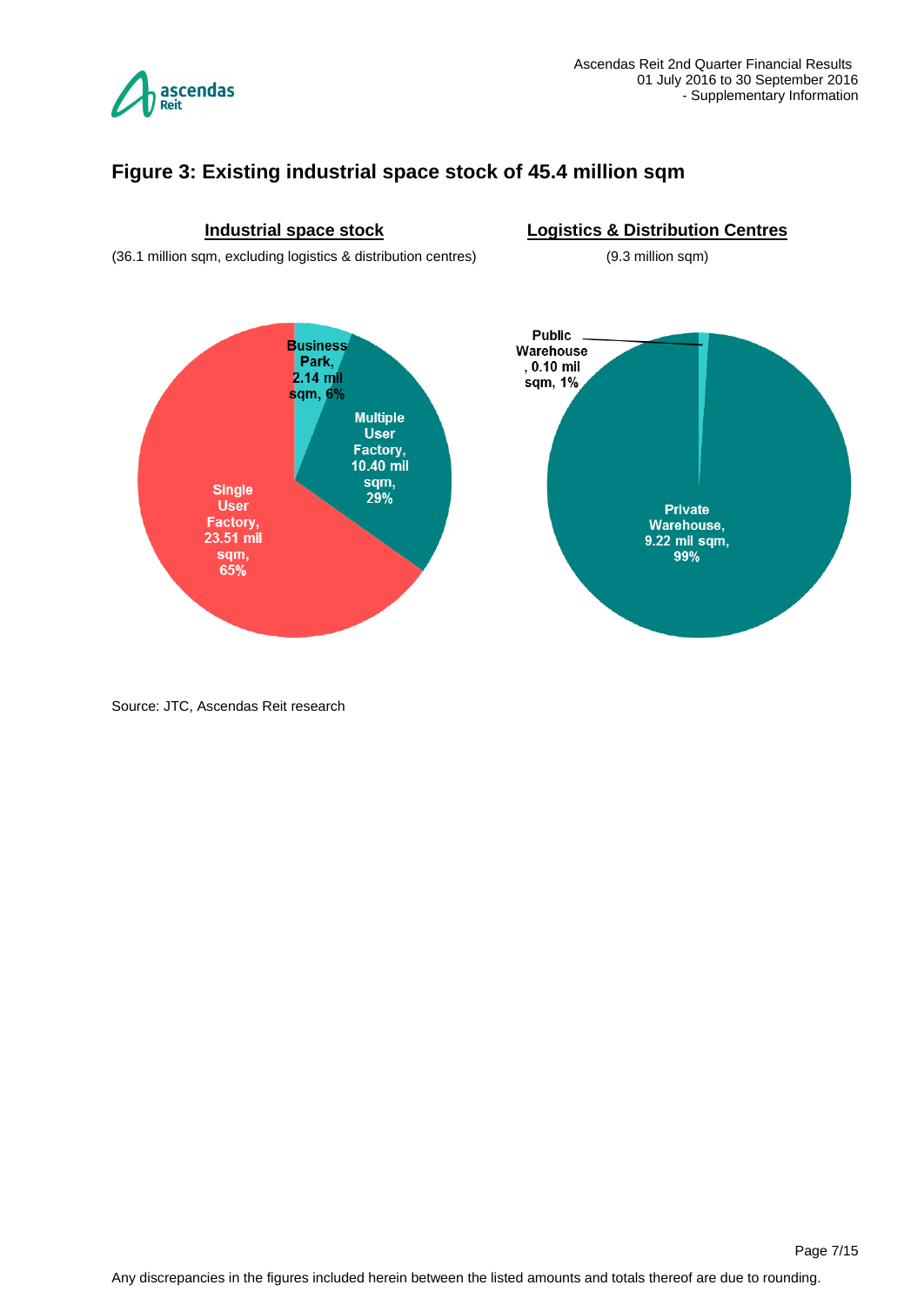

## **Figure 3: Existing industrial space stock of 45.4 million sqm**



Source: JTC, Ascendas Reit research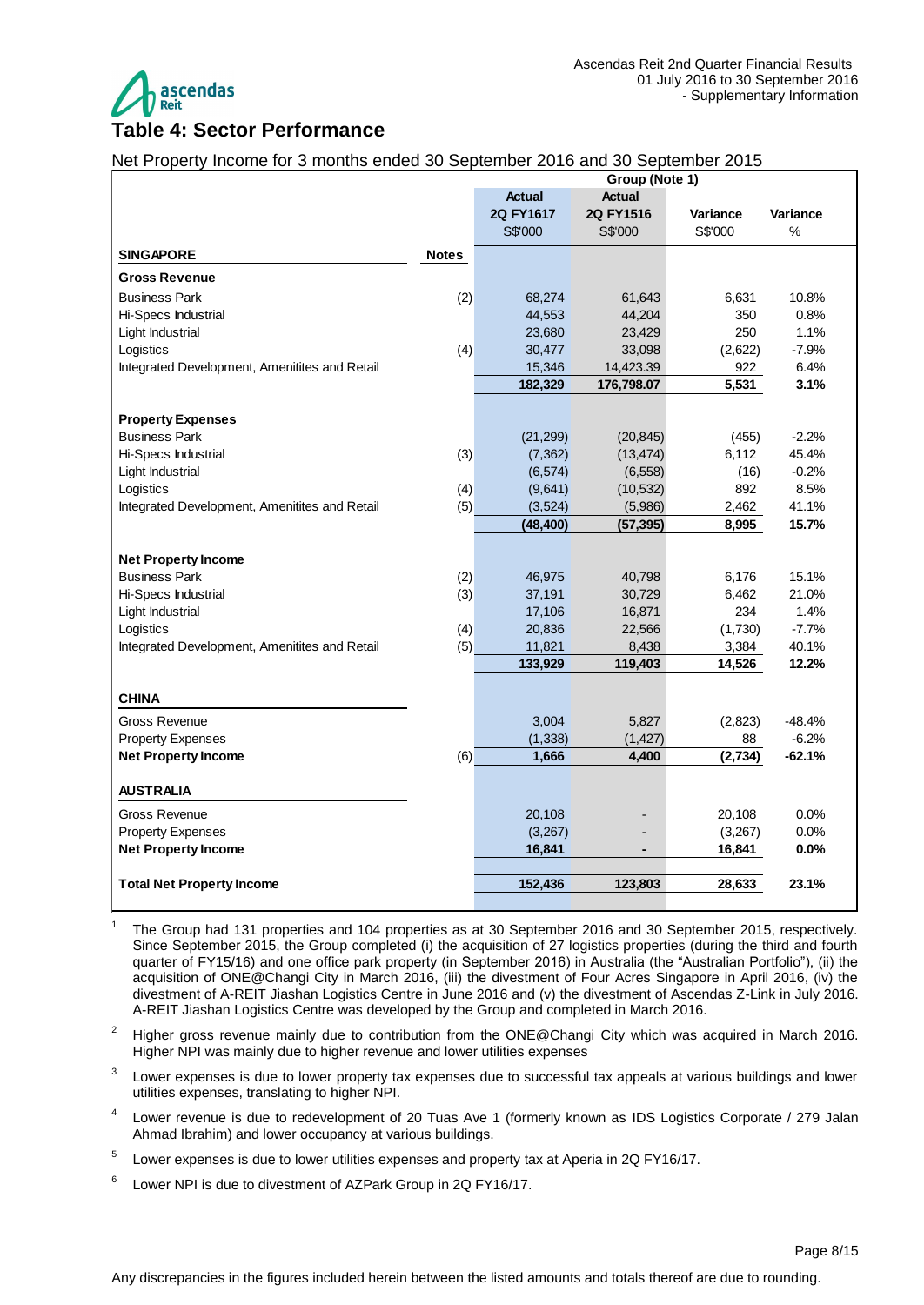

## <span id="page-7-0"></span>Net Property Income for 3 months ended 30 September 2016 and 30 September 2015

|                                               |              | Group (Note 1) |               |          |          |
|-----------------------------------------------|--------------|----------------|---------------|----------|----------|
|                                               |              | <b>Actual</b>  | <b>Actual</b> |          |          |
|                                               |              | 2Q FY1617      | 2Q FY1516     | Variance | Variance |
|                                               |              | S\$'000        | S\$'000       | S\$'000  | %        |
| <b>SINGAPORE</b>                              | <b>Notes</b> |                |               |          |          |
| <b>Gross Revenue</b>                          |              |                |               |          |          |
| <b>Business Park</b>                          | (2)          | 68,274         | 61,643        | 6,631    | 10.8%    |
| Hi-Specs Industrial                           |              | 44,553         | 44,204        | 350      | 0.8%     |
| Light Industrial                              |              | 23,680         | 23,429        | 250      | 1.1%     |
| Logistics                                     | (4)          | 30,477         | 33,098        | (2,622)  | $-7.9%$  |
| Integrated Development, Amenitites and Retail |              | 15,346         | 14,423.39     | 922      | 6.4%     |
|                                               |              | 182,329        | 176,798.07    | 5,531    | 3.1%     |
|                                               |              |                |               |          |          |
| <b>Property Expenses</b>                      |              |                |               |          |          |
| <b>Business Park</b>                          |              | (21, 299)      | (20, 845)     | (455)    | $-2.2%$  |
| Hi-Specs Industrial                           | (3)          | (7, 362)       | (13, 474)     | 6,112    | 45.4%    |
| Light Industrial                              |              | (6, 574)       | (6, 558)      | (16)     | $-0.2%$  |
| Logistics                                     | (4)          | (9,641)        | (10, 532)     | 892      | 8.5%     |
| Integrated Development, Amenitites and Retail | (5)          | (3, 524)       | (5,986)       | 2,462    | 41.1%    |
|                                               |              | (48, 400)      | (57, 395)     | 8,995    | 15.7%    |
| <b>Net Property Income</b>                    |              |                |               |          |          |
| <b>Business Park</b>                          | (2)          | 46,975         | 40,798        | 6,176    | 15.1%    |
| Hi-Specs Industrial                           | (3)          | 37,191         | 30,729        | 6,462    | 21.0%    |
| Light Industrial                              |              | 17,106         | 16,871        | 234      | 1.4%     |
| Logistics                                     | (4)          | 20,836         | 22,566        | (1,730)  | $-7.7%$  |
| Integrated Development, Amenitites and Retail | (5)          | 11,821         | 8,438         | 3,384    | 40.1%    |
|                                               |              | 133,929        | 119,403       | 14,526   | 12.2%    |
|                                               |              |                |               |          |          |
| <b>CHINA</b>                                  |              |                |               |          |          |
| Gross Revenue                                 |              | 3,004          | 5,827         | (2,823)  | $-48.4%$ |
| <b>Property Expenses</b>                      |              | (1, 338)       | (1, 427)      | 88       | $-6.2%$  |
| <b>Net Property Income</b>                    | (6)          | 1,666          | 4,400         | (2,734)  | $-62.1%$ |
| <b>AUSTRALIA</b>                              |              |                |               |          |          |
| Gross Revenue                                 |              | 20,108         |               | 20,108   | 0.0%     |
| <b>Property Expenses</b>                      |              | (3,267)        |               | (3,267)  | 0.0%     |
| <b>Net Property Income</b>                    |              | 16,841         |               | 16,841   | 0.0%     |
|                                               |              |                |               |          |          |
| <b>Total Net Property Income</b>              |              | 152,436        | 123,803       | 28,633   | 23.1%    |
|                                               |              |                |               |          |          |

<sup>&</sup>lt;sup>1</sup> The Group had 131 properties and 104 properties as at 30 September 2016 and 30 September 2015, respectively. Since September 2015, the Group completed (i) the acquisition of 27 logistics properties (during the third and fourth quarter of FY15/16) and one office park property (in September 2016) in Australia (the "Australian Portfolio"), (ii) the acquisition of ONE@Changi City in March 2016, (iii) the divestment of Four Acres Singapore in April 2016, (iv) the divestment of A-REIT Jiashan Logistics Centre in June 2016 and (v) the divestment of Ascendas Z-Link in July 2016. A-REIT Jiashan Logistics Centre was developed by the Group and completed in March 2016.

- <sup>2</sup> Higher gross revenue mainly due to contribution from the ONE@Changi City which was acquired in March 2016. Higher NPI was mainly due to higher revenue and lower utilities expenses
- 3 Lower expenses is due to lower property tax expenses due to successful tax appeals at various buildings and lower utilities expenses, translating to higher NPI.
- 4 Lower revenue is due to redevelopment of 20 Tuas Ave 1 (formerly known as IDS Logistics Corporate / 279 Jalan Ahmad Ibrahim) and lower occupancy at various buildings.
- 5 Lower expenses is due to lower utilities expenses and property tax at Aperia in 2Q FY16/17.
- 6 Lower NPI is due to divestment of AZPark Group in 2Q FY16/17.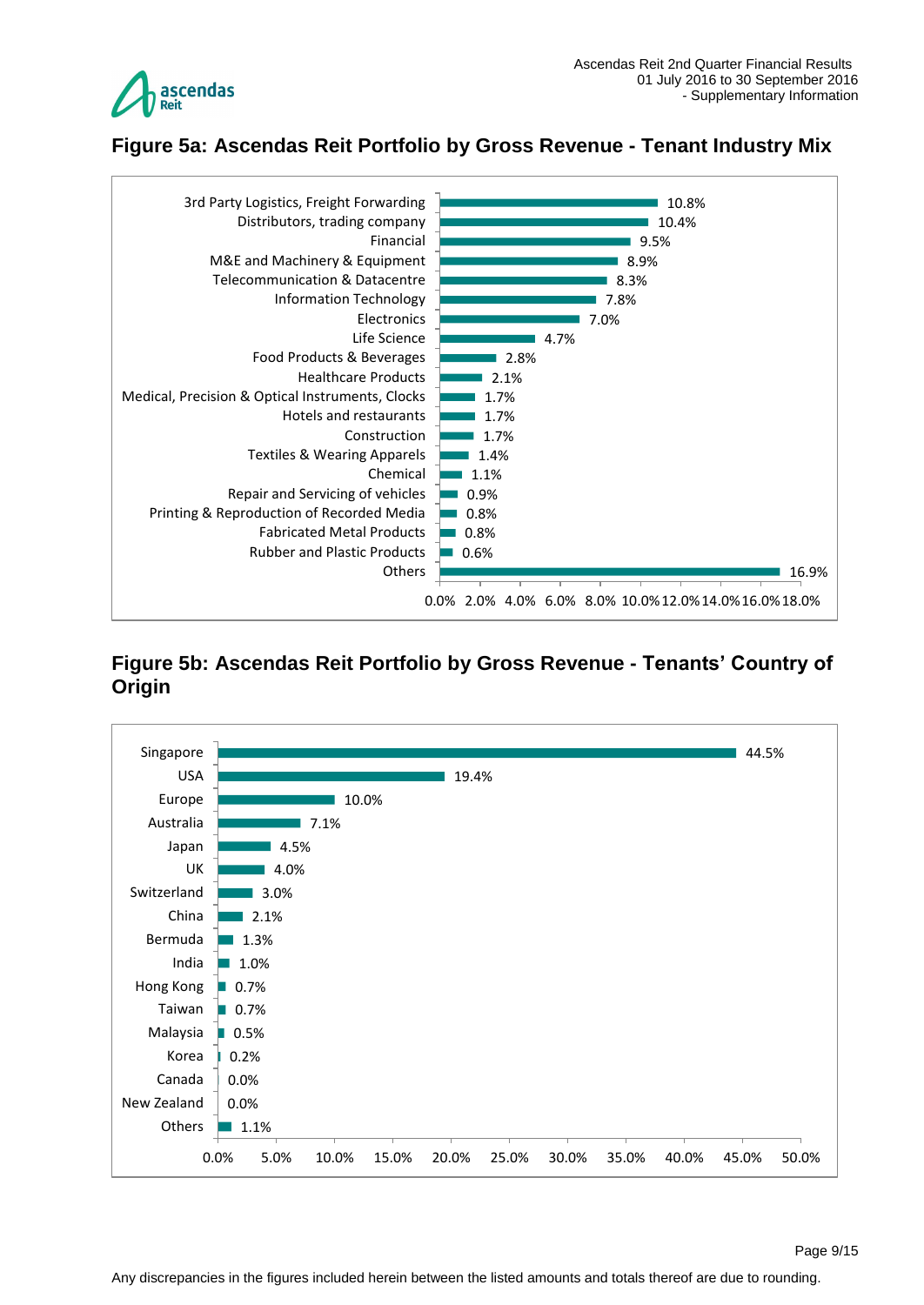

# <span id="page-8-0"></span>**Figure 5a: Ascendas Reit Portfolio by Gross Revenue - Tenant Industry Mix**



### <span id="page-8-1"></span>**Figure 5b: Ascendas Reit Portfolio by Gross Revenue - Tenants' Country of Origin**

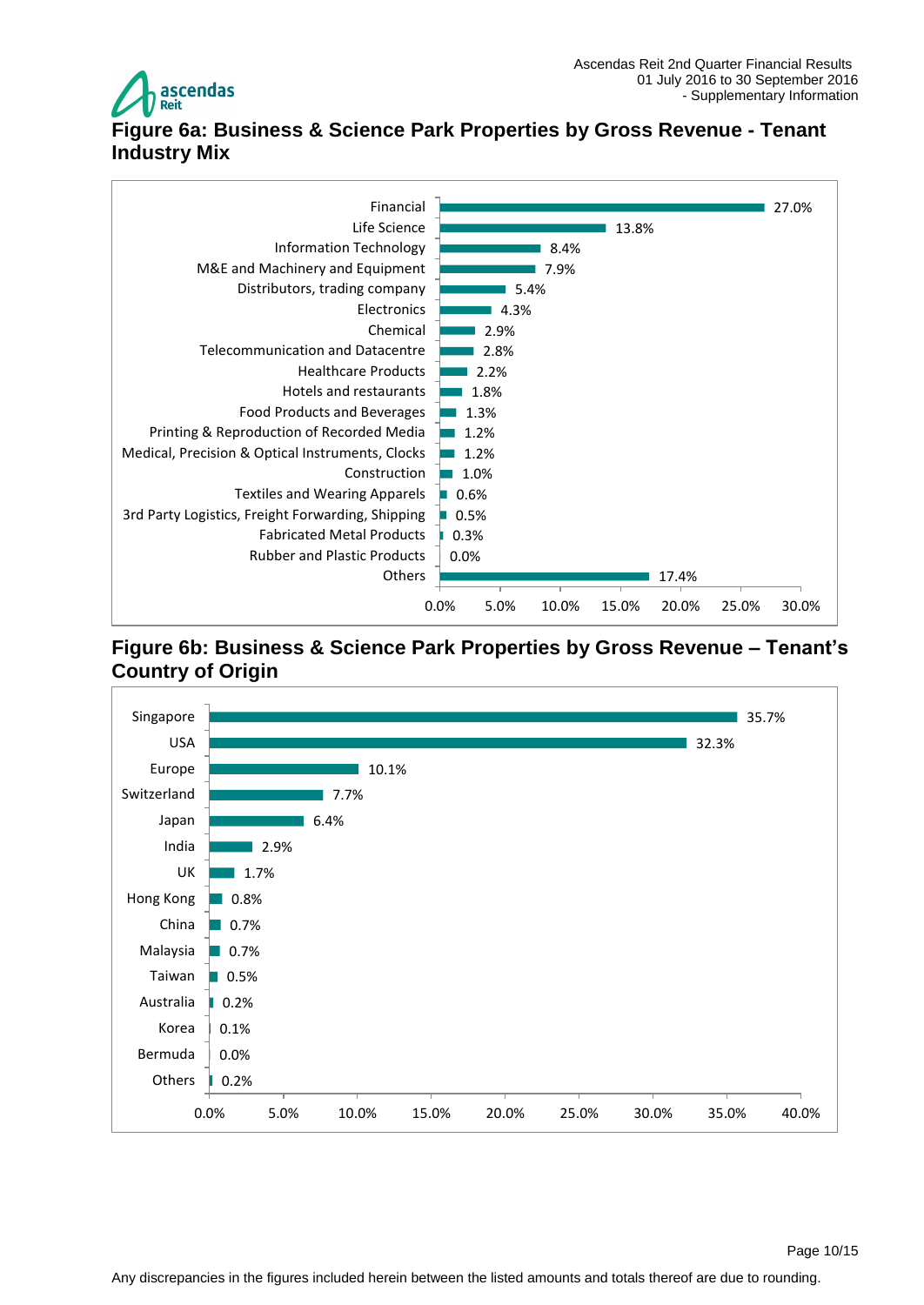

# <span id="page-9-0"></span>**Figure 6a: Business & Science Park Properties by Gross Revenue - Tenant Industry Mix**



#### <span id="page-9-1"></span>**Figure 6b: Business & Science Park Properties by Gross Revenue – Tenant's Country of Origin**

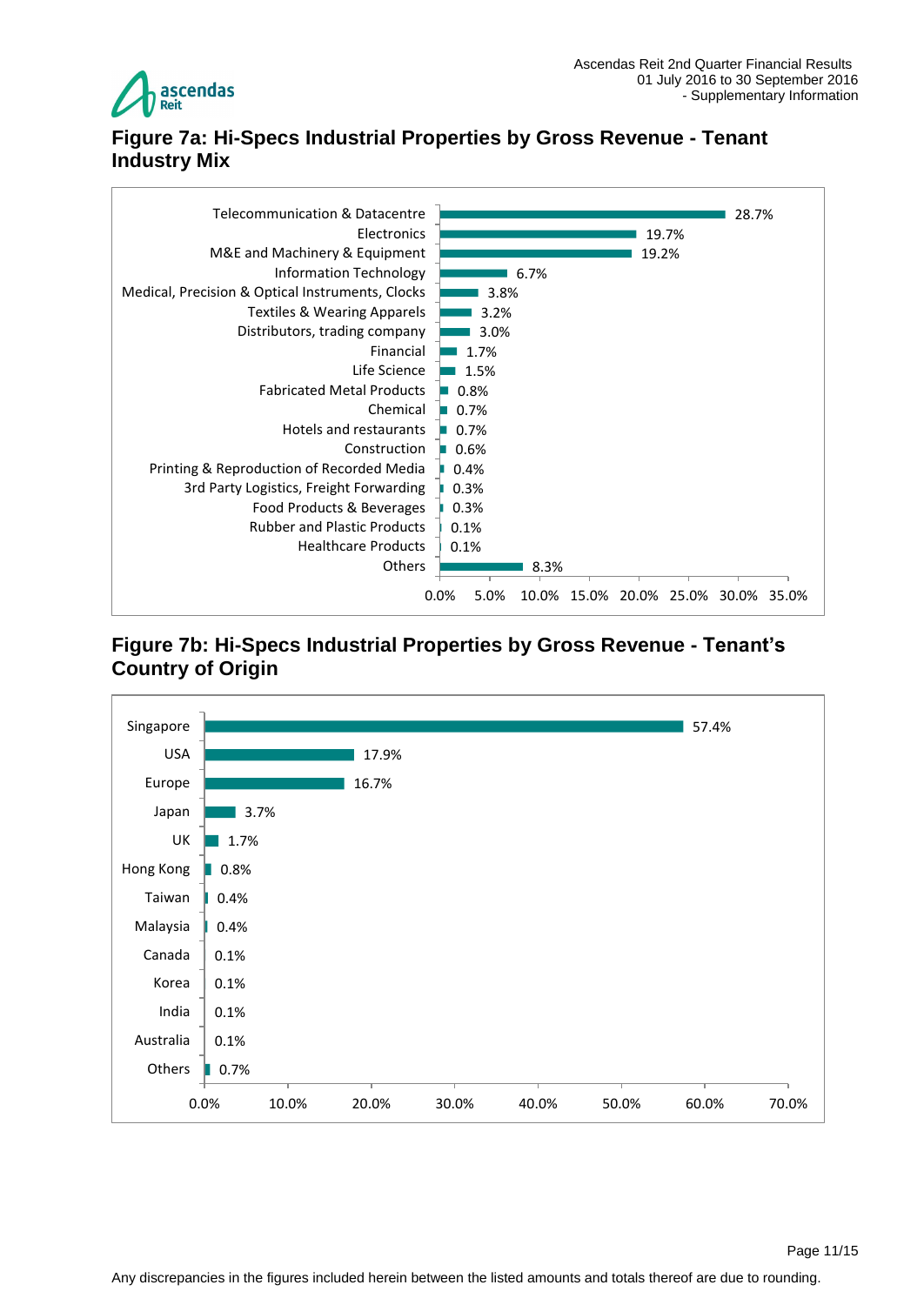

## <span id="page-10-0"></span>**Figure 7a: Hi-Specs Industrial Properties by Gross Revenue - Tenant Industry Mix**



#### <span id="page-10-1"></span>**Figure 7b: Hi-Specs Industrial Properties by Gross Revenue - Tenant's Country of Origin**

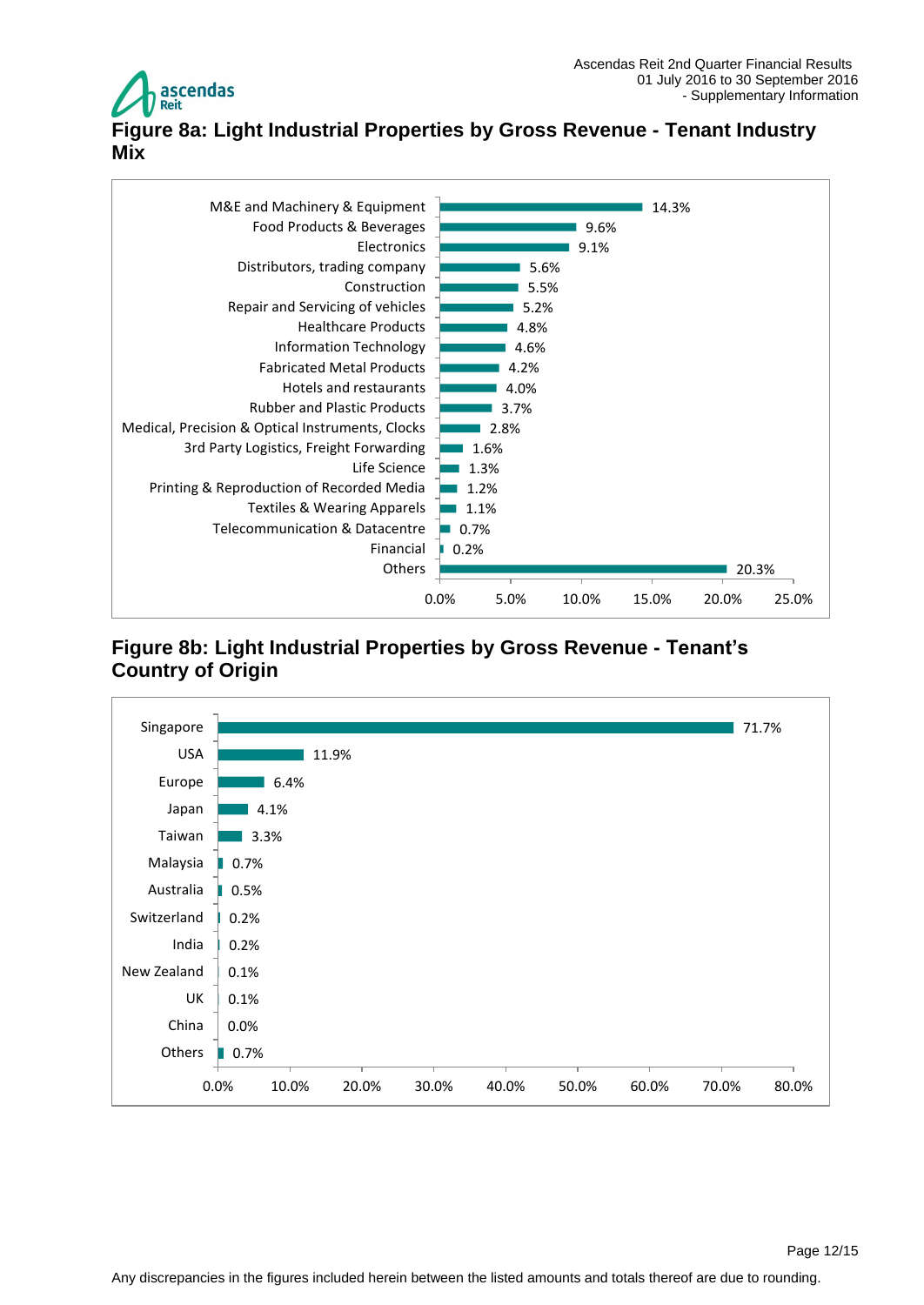

# <span id="page-11-0"></span>**Figure 8a: Light Industrial Properties by Gross Revenue - Tenant Industry Mix**



## <span id="page-11-1"></span>**Figure 8b: Light Industrial Properties by Gross Revenue - Tenant's Country of Origin**

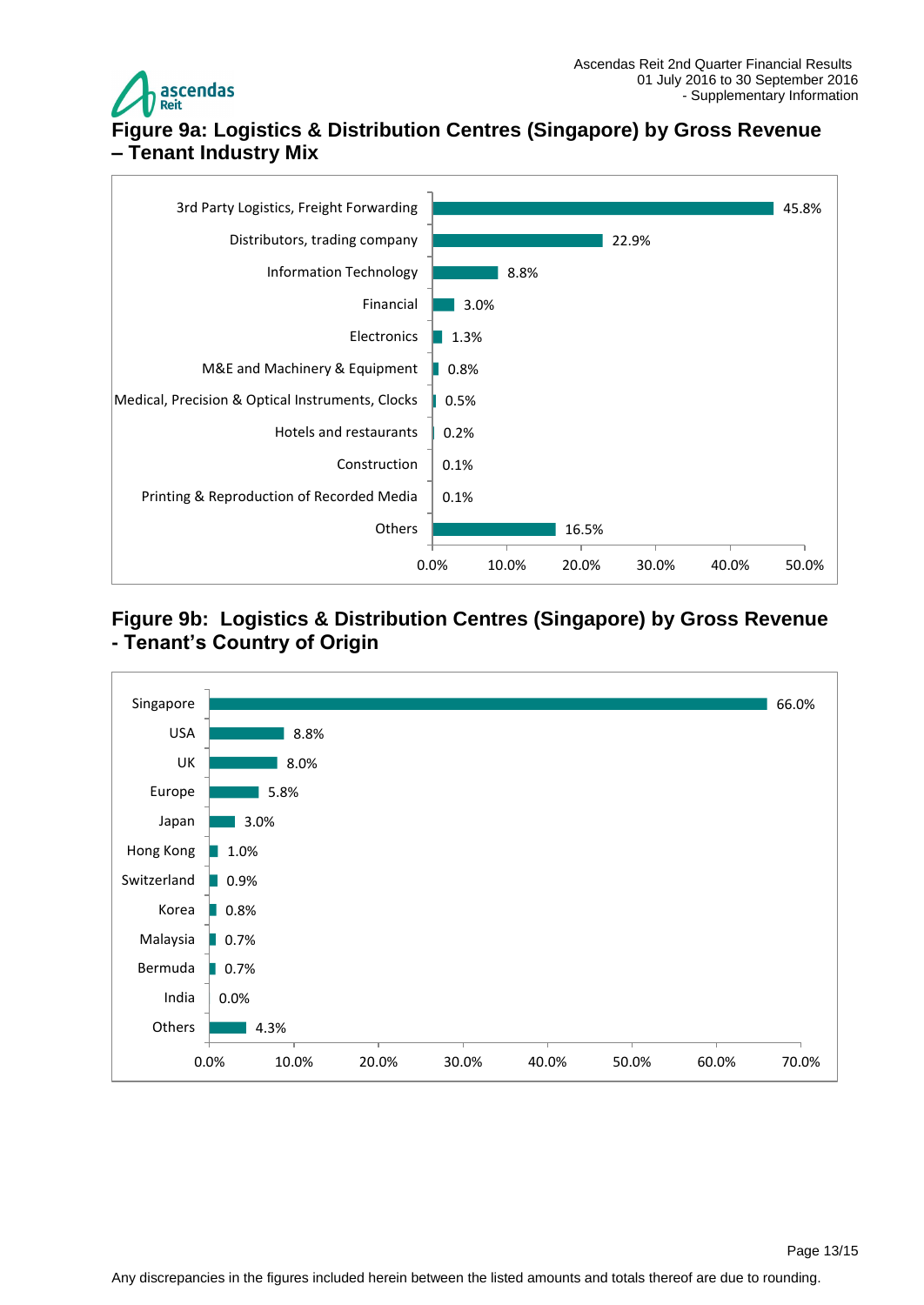

# <span id="page-12-1"></span><span id="page-12-0"></span>**Figure 9a: Logistics & Distribution Centres (Singapore) by Gross Revenue – Tenant Industry Mix**



#### <span id="page-12-2"></span>**Figure 9b: Logistics & Distribution Centres (Singapore) by Gross Revenue - Tenant's Country of Origin**

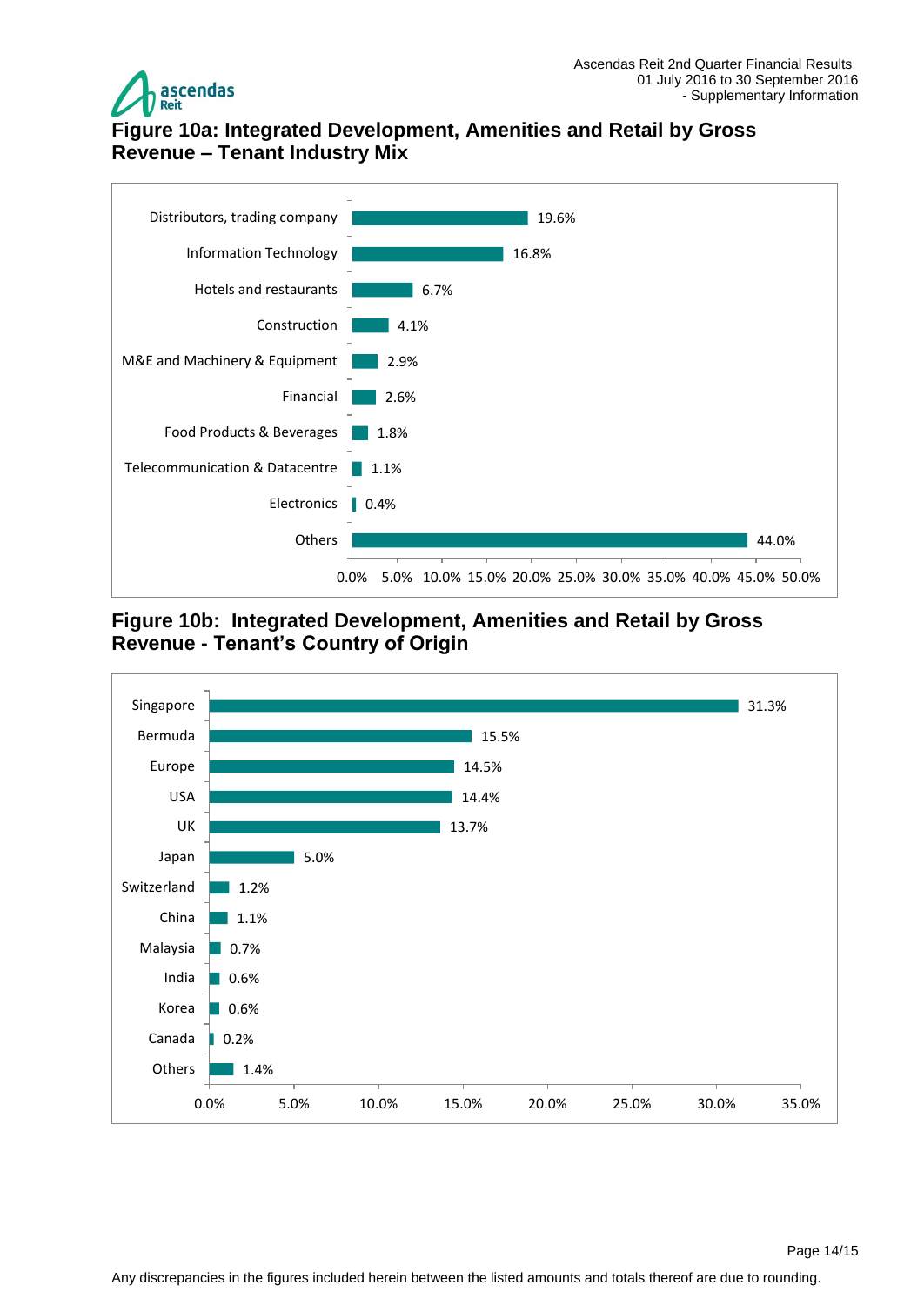

## <span id="page-13-0"></span>**Figure 10a: Integrated Development, Amenities and Retail by Gross Revenue – Tenant Industry Mix**



<span id="page-13-1"></span>**Figure 10b: Integrated Development, Amenities and Retail by Gross Revenue - Tenant's Country of Origin**